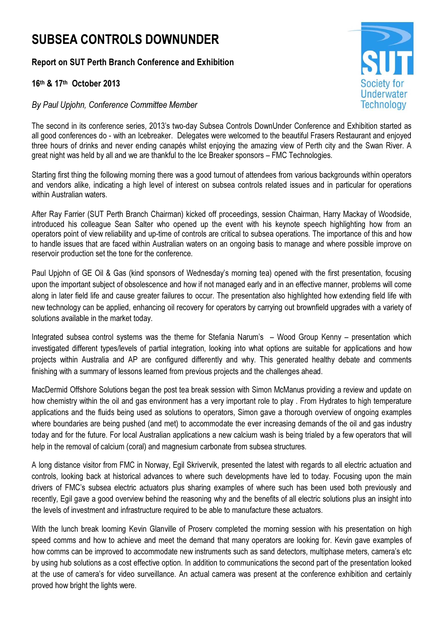## SUBSEA CONTROLS DOWNUNDER

## Report on SUT Perth Branch Conference and Exhibition

## 16th & 17th October 2013

## By Paul Upjohn, Conference Committee Member



The second in its conference series, 2013's two-day Subsea Controls DownUnder Conference and Exhibition started as all good conferences do - with an Icebreaker. Delegates were welcomed to the beautiful Frasers Restaurant and enjoyed three hours of drinks and never ending canapés whilst enjoying the amazing view of Perth city and the Swan River. A great night was held by all and we are thankful to the Ice Breaker sponsors – FMC Technologies.

Starting first thing the following morning there was a good turnout of attendees from various backgrounds within operators and vendors alike, indicating a high level of interest on subsea controls related issues and in particular for operations within Australian waters.

After Ray Farrier (SUT Perth Branch Chairman) kicked off proceedings, session Chairman, Harry Mackay of Woodside, introduced his colleague Sean Salter who opened up the event with his keynote speech highlighting how from an operators point of view reliability and up-time of controls are critical to subsea operations. The importance of this and how to handle issues that are faced within Australian waters on an ongoing basis to manage and where possible improve on reservoir production set the tone for the conference.

Paul Upjohn of GE Oil & Gas (kind sponsors of Wednesday's morning tea) opened with the first presentation, focusing upon the important subject of obsolescence and how if not managed early and in an effective manner, problems will come along in later field life and cause greater failures to occur. The presentation also highlighted how extending field life with new technology can be applied, enhancing oil recovery for operators by carrying out brownfield upgrades with a variety of solutions available in the market today.

Integrated subsea control systems was the theme for Stefania Narum's – Wood Group Kenny – presentation which investigated different types/levels of partial integration, looking into what options are suitable for applications and how projects within Australia and AP are configured differently and why. This generated healthy debate and comments finishing with a summary of lessons learned from previous projects and the challenges ahead.

MacDermid Offshore Solutions began the post tea break session with Simon McManus providing a review and update on how chemistry within the oil and gas environment has a very important role to play . From Hydrates to high temperature applications and the fluids being used as solutions to operators, Simon gave a thorough overview of ongoing examples where boundaries are being pushed (and met) to accommodate the ever increasing demands of the oil and gas industry today and for the future. For local Australian applications a new calcium wash is being trialed by a few operators that will help in the removal of calcium (coral) and magnesium carbonate from subsea structures.

A long distance visitor from FMC in Norway, Egil Skrivervik, presented the latest with regards to all electric actuation and controls, looking back at historical advances to where such developments have led to today. Focusing upon the main drivers of FMC's subsea electric actuators plus sharing examples of where such has been used both previously and recently, Egil gave a good overview behind the reasoning why and the benefits of all electric solutions plus an insight into the levels of investment and infrastructure required to be able to manufacture these actuators.

With the lunch break looming Kevin Glanville of Proserv completed the morning session with his presentation on high speed comms and how to achieve and meet the demand that many operators are looking for. Kevin gave examples of how comms can be improved to accommodate new instruments such as sand detectors, multiphase meters, camera's etc by using hub solutions as a cost effective option. In addition to communications the second part of the presentation looked at the use of camera's for video surveillance. An actual camera was present at the conference exhibition and certainly proved how bright the lights were.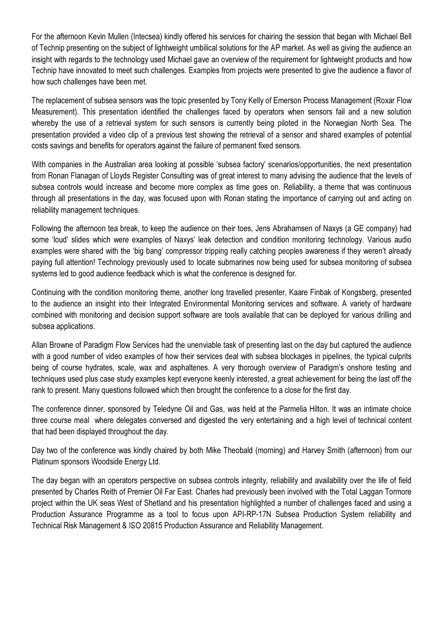For the afternoon Kevin Mullen (Intecsea) kindly offered his services for chairing the session that began with Michael Bell of Technip presenting on the subject of lightweight umbilical solutions for the AP market. As well as giving the audience an insight with regards to the technology used Michael gave an overview of the requirement for lightweight products and how Technip have innovated to meet such challenges. Examples from projects were presented to give the audience a flavor of how such challenges have been met.

The replacement of subsea sensors was the topic presented by Tony Kelly of Emerson Process Management (Roxar Flow Measurement). This presentation identified the challenges faced by operators when sensors fail and a new solution whereby the use of a retrieval system for such sensors is currently being piloted in the Norwegian North Sea. The presentation provided a video clip of a previous test showing the retrieval of a sensor and shared examples of potential costs savings and benefits for operators against the failure of permanent fixed sensors.

With companies in the Australian area looking at possible 'subsea factory' scenarios/opportunities, the next presentation from Ronan Flanagan of Lloyds Register Consulting was of great interest to many advising the audience that the levels of subsea controls would increase and become more complex as time goes on. Reliability, a theme that was continuous through all presentations in the day, was focused upon with Ronan stating the importance of carrying out and acting on reliability management techniques.

Following the afternoon tea break, to keep the audience on their toes, Jens Abrahamsen of Naxys (a GE company) had some 'loud' slides which were examples of Naxys' leak detection and condition monitoring technology. Various audio examples were shared with the 'big bang' compressor tripping really catching peoples awareness if they weren't already paying full attention! Technology previously used to locate submarines now being used for subsea monitoring of subsea systems led to good audience feedback which is what the conference is designed for.

Continuing with the condition monitoring theme, another long travelled presenter, Kaare Finbak of Kongsberg, presented to the audience an insight into their Integrated Environmental Monitoring services and software. A variety of hardware combined with monitoring and decision support software are tools available that can be deployed for various drilling and subsea applications.

Allan Browne of Paradigm Flow Services had the unenviable task of presenting last on the day but captured the audience with a good number of video examples of how their services deal with subsea blockages in pipelines, the typical culprits being of course hydrates, scale, wax and asphaltenes. A very thorough overview of Paradigm's onshore testing and techniques used plus case study examples kept everyone keenly interested, a great achievement for being the last off the rank to present. Many questions followed which then brought the conference to a close for the first day.

The conference dinner, sponsored by Teledyne Oil and Gas, was held at the Parmelia Hilton. It was an intimate choice three course meal where delegates conversed and digested the very entertaining and a high level of technical content that had been displayed throughout the day.

Day two of the conference was kindly chaired by both Mike Theobald (morning) and Harvey Smith (afternoon) from our Platinum sponsors Woodside Energy Ltd.

The day began with an operators perspective on subsea controls integrity, reliability and availability over the life of field presented by Charles Reith of Premier Oil Far East. Charles had previously been involved with the Total Laggan Tormore project within the UK seas West of Shetland and his presentation highlighted a number of challenges faced and using a Production Assurance Programme as a tool to focus upon API-RP-17N Subsea Production System reliability and Technical Risk Management & ISO 20815 Production Assurance and Reliability Management.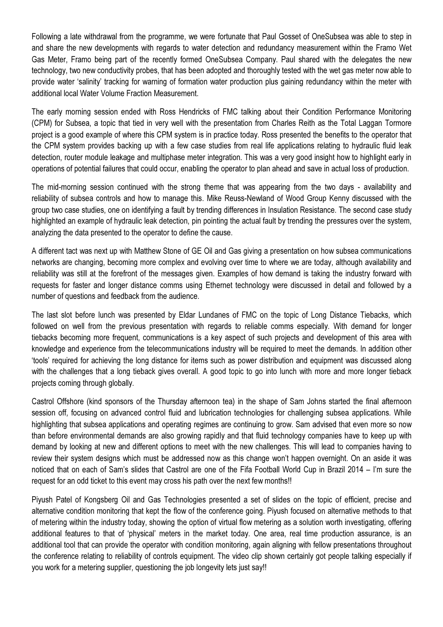Following a late withdrawal from the programme, we were fortunate that Paul Gosset of OneSubsea was able to step in and share the new developments with regards to water detection and redundancy measurement within the Framo Wet Gas Meter, Framo being part of the recently formed OneSubsea Company. Paul shared with the delegates the new technology, two new conductivity probes, that has been adopted and thoroughly tested with the wet gas meter now able to provide water 'salinity' tracking for warning of formation water production plus gaining redundancy within the meter with additional local Water Volume Fraction Measurement.

The early morning session ended with Ross Hendricks of FMC talking about their Condition Performance Monitoring (CPM) for Subsea, a topic that tied in very well with the presentation from Charles Reith as the Total Laggan Tormore project is a good example of where this CPM system is in practice today. Ross presented the benefits to the operator that the CPM system provides backing up with a few case studies from real life applications relating to hydraulic fluid leak detection, router module leakage and multiphase meter integration. This was a very good insight how to highlight early in operations of potential failures that could occur, enabling the operator to plan ahead and save in actual loss of production.

The mid-morning session continued with the strong theme that was appearing from the two days - availability and reliability of subsea controls and how to manage this. Mike Reuss-Newland of Wood Group Kenny discussed with the group two case studies, one on identifying a fault by trending differences in Insulation Resistance. The second case study highlighted an example of hydraulic leak detection, pin pointing the actual fault by trending the pressures over the system, analyzing the data presented to the operator to define the cause.

A different tact was next up with Matthew Stone of GE Oil and Gas giving a presentation on how subsea communications networks are changing, becoming more complex and evolving over time to where we are today, although availability and reliability was still at the forefront of the messages given. Examples of how demand is taking the industry forward with requests for faster and longer distance comms using Ethernet technology were discussed in detail and followed by a number of questions and feedback from the audience.

The last slot before lunch was presented by Eldar Lundanes of FMC on the topic of Long Distance Tiebacks, which followed on well from the previous presentation with regards to reliable comms especially. With demand for longer tiebacks becoming more frequent, communications is a key aspect of such projects and development of this area with knowledge and experience from the telecommunications industry will be required to meet the demands. In addition other 'tools' required for achieving the long distance for items such as power distribution and equipment was discussed along with the challenges that a long tieback gives overall. A good topic to go into lunch with more and more longer tieback projects coming through globally.

Castrol Offshore (kind sponsors of the Thursday afternoon tea) in the shape of Sam Johns started the final afternoon session off, focusing on advanced control fluid and lubrication technologies for challenging subsea applications. While highlighting that subsea applications and operating regimes are continuing to grow. Sam advised that even more so now than before environmental demands are also growing rapidly and that fluid technology companies have to keep up with demand by looking at new and different options to meet with the new challenges. This will lead to companies having to review their system designs which must be addressed now as this change won't happen overnight. On an aside it was noticed that on each of Sam's slides that Castrol are one of the Fifa Football World Cup in Brazil 2014 – I'm sure the request for an odd ticket to this event may cross his path over the next few months!!

Piyush Patel of Kongsberg Oil and Gas Technologies presented a set of slides on the topic of efficient, precise and alternative condition monitoring that kept the flow of the conference going. Piyush focused on alternative methods to that of metering within the industry today, showing the option of virtual flow metering as a solution worth investigating, offering additional features to that of 'physical' meters in the market today. One area, real time production assurance, is an additional tool that can provide the operator with condition monitoring, again aligning with fellow presentations throughout the conference relating to reliability of controls equipment. The video clip shown certainly got people talking especially if you work for a metering supplier, questioning the job longevity lets just say!!